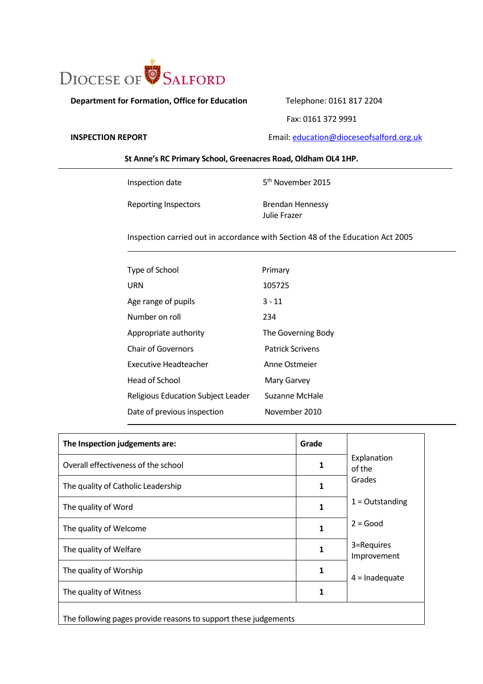

**Department for Formation, Office for Education** Telephone: 0161 817 2204

Fax: 0161 372 9991

**INSPECTION REPORT** Email: **education@dioceseofsalford.org.uk** 

# **St Anne's RC Primary School, Greenacres Road, Oldham OL4 1HP.**

Inspection date 5

Reporting Inspectors Brendan Hennessy Julie Frazer

5<sup>th</sup> November 2015

Inspection carried out in accordance with Section 48 of the Education Act 2005

| Primary                 |
|-------------------------|
| 105725                  |
| $3 - 11$                |
| 234                     |
| The Governing Body      |
| <b>Patrick Scrivens</b> |
| Anne Ostmeier           |
| Mary Garvey             |
| Suzanne McHale          |
| November 2010           |
|                         |

| The Inspection judgements are:                                  | Grade |                           |  |
|-----------------------------------------------------------------|-------|---------------------------|--|
| Overall effectiveness of the school                             | 1     | Explanation<br>of the     |  |
| The quality of Catholic Leadership                              | 1     | Grades                    |  |
| The quality of Word                                             | 1     | $1 =$ Outstanding         |  |
| The quality of Welcome                                          | 1     | $2 = Good$                |  |
| The quality of Welfare                                          | 1     | 3=Requires<br>Improvement |  |
| The quality of Worship                                          | 1     | $4 =$ Inadequate          |  |
| The quality of Witness                                          |       |                           |  |
| The following pages provide reasons to support these judgements |       |                           |  |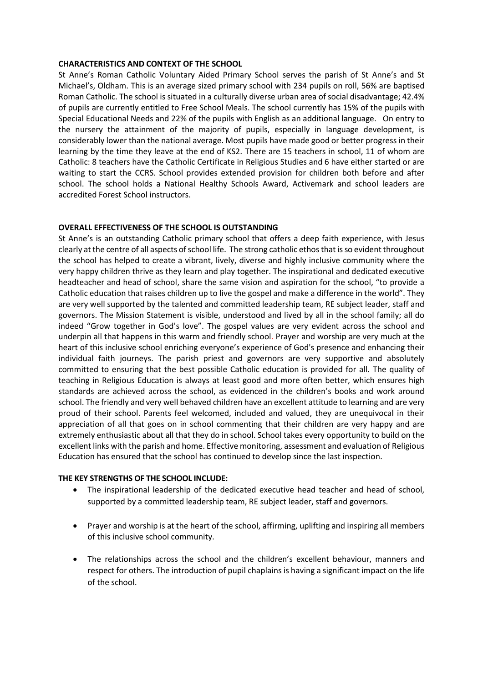## **CHARACTERISTICS AND CONTEXT OF THE SCHOOL**

St Anne's Roman Catholic Voluntary Aided Primary School serves the parish of St Anne's and St Michael's, Oldham. This is an average sized primary school with 234 pupils on roll, 56% are baptised Roman Catholic. The school is situated in a culturally diverse urban area of social disadvantage; 42.4% of pupils are currently entitled to Free School Meals. The school currently has 15% of the pupils with Special Educational Needs and 22% of the pupils with English as an additional language. On entry to the nursery the attainment of the majority of pupils, especially in language development, is considerably lower than the national average. Most pupils have made good or better progress in their learning by the time they leave at the end of KS2. There are 15 teachers in school, 11 of whom are Catholic: 8 teachers have the Catholic Certificate in Religious Studies and 6 have either started or are waiting to start the CCRS. School provides extended provision for children both before and after school. The school holds a National Healthy Schools Award, Activemark and school leaders are accredited Forest School instructors.

## **OVERALL EFFECTIVENESS OF THE SCHOOL IS OUTSTANDING**

St Anne's is an outstanding Catholic primary school that offers a deep faith experience, with Jesus clearly at the centre of all aspects of school life. The strong catholic ethos that is so evident throughout the school has helped to create a vibrant, lively, diverse and highly inclusive community where the very happy children thrive as they learn and play together. The inspirational and dedicated executive headteacher and head of school, share the same vision and aspiration for the school, "to provide a Catholic education that raises children up to live the gospel and make a difference in the world". They are very well supported by the talented and committed leadership team, RE subject leader, staff and governors. The Mission Statement is visible, understood and lived by all in the school family; all do indeed "Grow together in God's love". The gospel values are very evident across the school and underpin all that happens in this warm and friendly school. Prayer and worship are very much at the heart of this inclusive school enriching everyone's experience of God's presence and enhancing their individual faith journeys. The parish priest and governors are very supportive and absolutely committed to ensuring that the best possible Catholic education is provided for all. The quality of teaching in Religious Education is always at least good and more often better, which ensures high standards are achieved across the school, as evidenced in the children's books and work around school. The friendly and very well behaved children have an excellent attitude to learning and are very proud of their school. Parents feel welcomed, included and valued, they are unequivocal in their appreciation of all that goes on in school commenting that their children are very happy and are extremely enthusiastic about all that they do in school. School takes every opportunity to build on the excellent links with the parish and home. Effective monitoring, assessment and evaluation of Religious Education has ensured that the school has continued to develop since the last inspection.

#### **THE KEY STRENGTHS OF THE SCHOOL INCLUDE:**

- The inspirational leadership of the dedicated executive head teacher and head of school, supported by a committed leadership team, RE subject leader, staff and governors.
- Prayer and worship is at the heart of the school, affirming, uplifting and inspiring all members of this inclusive school community.
- The relationships across the school and the children's excellent behaviour, manners and respect for others. The introduction of pupil chaplains is having a significant impact on the life of the school.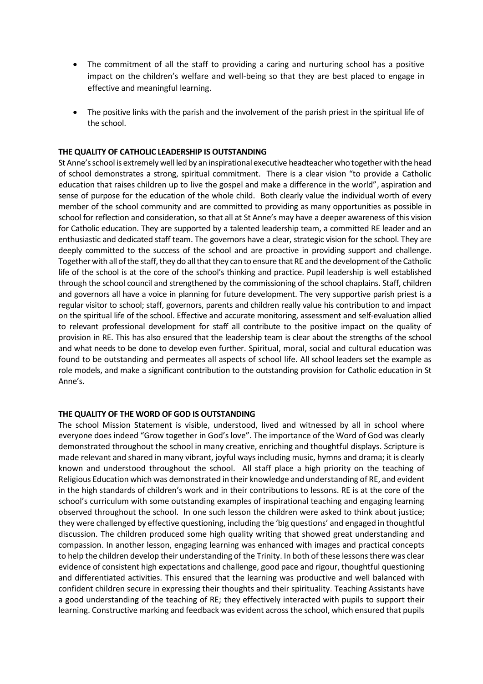- The commitment of all the staff to providing a caring and nurturing school has a positive impact on the children's welfare and well-being so that they are best placed to engage in effective and meaningful learning.
- The positive links with the parish and the involvement of the parish priest in the spiritual life of the school.

## **THE QUALITY OF CATHOLIC LEADERSHIP IS OUTSTANDING**

St Anne's school is extremely well led by an inspirational executive headteacher who together with the head of school demonstrates a strong, spiritual commitment. There is a clear vision "to provide a Catholic education that raises children up to live the gospel and make a difference in the world", aspiration and sense of purpose for the education of the whole child. Both clearly value the individual worth of every member of the school community and are committed to providing as many opportunities as possible in school for reflection and consideration, so that all at St Anne's may have a deeper awareness of this vision for Catholic education. They are supported by a talented leadership team, a committed RE leader and an enthusiastic and dedicated staff team. The governors have a clear, strategic vision for the school. They are deeply committed to the success of the school and are proactive in providing support and challenge. Together with all of the staff, they do all that they can to ensure that RE and the development of the Catholic life of the school is at the core of the school's thinking and practice. Pupil leadership is well established through the school council and strengthened by the commissioning of the school chaplains. Staff, children and governors all have a voice in planning for future development. The very supportive parish priest is a regular visitor to school; staff, governors, parents and children really value his contribution to and impact on the spiritual life of the school. Effective and accurate monitoring, assessment and self-evaluation allied to relevant professional development for staff all contribute to the positive impact on the quality of provision in RE. This has also ensured that the leadership team is clear about the strengths of the school and what needs to be done to develop even further. Spiritual, moral, social and cultural education was found to be outstanding and permeates all aspects of school life. All school leaders set the example as role models, and make a significant contribution to the outstanding provision for Catholic education in St Anne's.

#### **THE QUALITY OF THE WORD OF GOD IS OUTSTANDING**

The school Mission Statement is visible, understood, lived and witnessed by all in school where everyone does indeed "Grow together in God's love". The importance of the Word of God was clearly demonstrated throughout the school in many creative, enriching and thoughtful displays. Scripture is made relevant and shared in many vibrant, joyful ways including music, hymns and drama; it is clearly known and understood throughout the school. All staff place a high priority on the teaching of Religious Education which was demonstrated in their knowledge and understanding of RE, and evident in the high standards of children's work and in their contributions to lessons. RE is at the core of the school's curriculum with some outstanding examples of inspirational teaching and engaging learning observed throughout the school. In one such lesson the children were asked to think about justice; they were challenged by effective questioning, including the 'big questions' and engaged in thoughtful discussion. The children produced some high quality writing that showed great understanding and compassion. In another lesson, engaging learning was enhanced with images and practical concepts to help the children develop their understanding of the Trinity. In both of these lessons there was clear evidence of consistent high expectations and challenge, good pace and rigour, thoughtful questioning and differentiated activities. This ensured that the learning was productive and well balanced with confident children secure in expressing their thoughts and their spirituality. Teaching Assistants have a good understanding of the teaching of RE; they effectively interacted with pupils to support their learning. Constructive marking and feedback was evident across the school, which ensured that pupils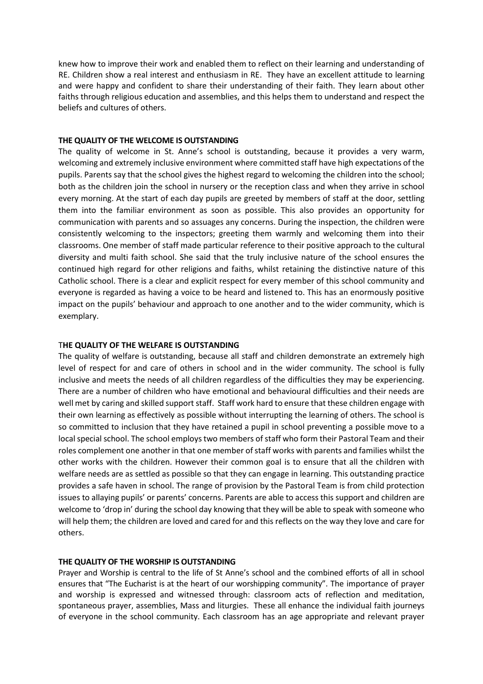knew how to improve their work and enabled them to reflect on their learning and understanding of RE. Children show a real interest and enthusiasm in RE. They have an excellent attitude to learning and were happy and confident to share their understanding of their faith. They learn about other faiths through religious education and assemblies, and this helps them to understand and respect the beliefs and cultures of others.

### **THE QUALITY OF THE WELCOME IS OUTSTANDING**

The quality of welcome in St. Anne's school is outstanding, because it provides a very warm, welcoming and extremely inclusive environment where committed staff have high expectations of the pupils. Parents say that the school gives the highest regard to welcoming the children into the school; both as the children join the school in nursery or the reception class and when they arrive in school every morning. At the start of each day pupils are greeted by members of staff at the door, settling them into the familiar environment as soon as possible. This also provides an opportunity for communication with parents and so assuages any concerns. During the inspection, the children were consistently welcoming to the inspectors; greeting them warmly and welcoming them into their classrooms. One member of staff made particular reference to their positive approach to the cultural diversity and multi faith school. She said that the truly inclusive nature of the school ensures the continued high regard for other religions and faiths, whilst retaining the distinctive nature of this Catholic school. There is a clear and explicit respect for every member of this school community and everyone is regarded as having a voice to be heard and listened to. This has an enormously positive impact on the pupils' behaviour and approach to one another and to the wider community, which is exemplary.

### T**HE QUALITY OF THE WELFARE IS OUTSTANDING**

The quality of welfare is outstanding, because all staff and children demonstrate an extremely high level of respect for and care of others in school and in the wider community. The school is fully inclusive and meets the needs of all children regardless of the difficulties they may be experiencing. There are a number of children who have emotional and behavioural difficulties and their needs are well met by caring and skilled support staff. Staff work hard to ensure that these children engage with their own learning as effectively as possible without interrupting the learning of others. The school is so committed to inclusion that they have retained a pupil in school preventing a possible move to a local special school. The school employs two members of staff who form their Pastoral Team and their roles complement one another in that one member of staff works with parents and families whilst the other works with the children. However their common goal is to ensure that all the children with welfare needs are as settled as possible so that they can engage in learning. This outstanding practice provides a safe haven in school. The range of provision by the Pastoral Team is from child protection issues to allaying pupils' or parents' concerns. Parents are able to access this support and children are welcome to 'drop in' during the school day knowing that they will be able to speak with someone who will help them; the children are loved and cared for and this reflects on the way they love and care for others.

# **THE QUALITY OF THE WORSHIP IS OUTSTANDING**

Prayer and Worship is central to the life of St Anne's school and the combined efforts of all in school ensures that "The Eucharist is at the heart of our worshipping community". The importance of prayer and worship is expressed and witnessed through: classroom acts of reflection and meditation, spontaneous prayer, assemblies, Mass and liturgies. These all enhance the individual faith journeys of everyone in the school community. Each classroom has an age appropriate and relevant prayer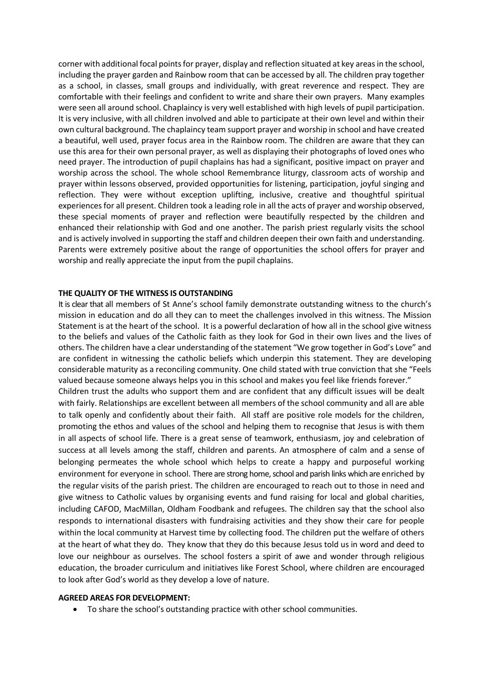corner with additional focal points for prayer, display and reflection situated at key areas in the school, including the prayer garden and Rainbow room that can be accessed by all. The children pray together as a school, in classes, small groups and individually, with great reverence and respect. They are comfortable with their feelings and confident to write and share their own prayers. Many examples were seen all around school. Chaplaincy is very well established with high levels of pupil participation. It is very inclusive, with all children involved and able to participate at their own level and within their own cultural background. The chaplaincy team support prayer and worship in school and have created a beautiful, well used, prayer focus area in the Rainbow room. The children are aware that they can use this area for their own personal prayer, as well as displaying their photographs of loved ones who need prayer. The introduction of pupil chaplains has had a significant, positive impact on prayer and worship across the school. The whole school Remembrance liturgy, classroom acts of worship and prayer within lessons observed, provided opportunities for listening, participation, joyful singing and reflection. They were without exception uplifting, inclusive, creative and thoughtful spiritual experiences for all present. Children took a leading role in all the acts of prayer and worship observed, these special moments of prayer and reflection were beautifully respected by the children and enhanced their relationship with God and one another. The parish priest regularly visits the school and is actively involved in supporting the staff and children deepen their own faith and understanding. Parents were extremely positive about the range of opportunities the school offers for prayer and worship and really appreciate the input from the pupil chaplains.

## **THE QUALITY OF THE WITNESS IS OUTSTANDING**

It is clear that all members of St Anne's school family demonstrate outstanding witness to the church's mission in education and do all they can to meet the challenges involved in this witness. The Mission Statement is at the heart of the school. It is a powerful declaration of how all in the school give witness to the beliefs and values of the Catholic faith as they look for God in their own lives and the lives of others. The children have a clear understanding of the statement "We grow together in God's Love" and are confident in witnessing the catholic beliefs which underpin this statement. They are developing considerable maturity as a reconciling community. One child stated with true conviction that she "Feels valued because someone always helps you in this school and makes you feel like friends forever." Children trust the adults who support them and are confident that any difficult issues will be dealt with fairly. Relationships are excellent between all members of the school community and all are able to talk openly and confidently about their faith. All staff are positive role models for the children, promoting the ethos and values of the school and helping them to recognise that Jesus is with them in all aspects of school life. There is a great sense of teamwork, enthusiasm, joy and celebration of success at all levels among the staff, children and parents. An atmosphere of calm and a sense of belonging permeates the whole school which helps to create a happy and purposeful working environment for everyone in school. There are strong home, school and parish links which are enriched by the regular visits of the parish priest. The children are encouraged to reach out to those in need and give witness to Catholic values by organising events and fund raising for local and global charities, including CAFOD, MacMillan, Oldham Foodbank and refugees. The children say that the school also responds to international disasters with fundraising activities and they show their care for people within the local community at Harvest time by collecting food. The children put the welfare of others at the heart of what they do. They know that they do this because Jesus told us in word and deed to love our neighbour as ourselves. The school fosters a spirit of awe and wonder through religious education, the broader curriculum and initiatives like Forest School, where children are encouraged to look after God's world as they develop a love of nature.

#### **AGREED AREAS FOR DEVELOPMENT:**

To share the school's outstanding practice with other school communities.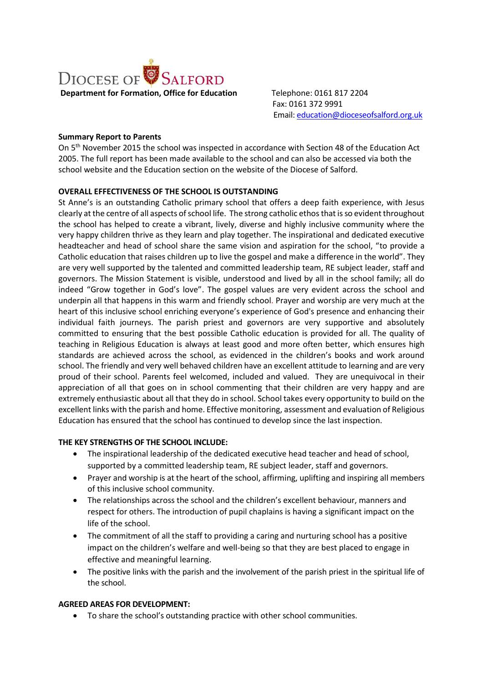

 Fax: 0161 372 9991 Email: [education@dioceseofsalford.org.uk](mailto:education@dioceseofsalford.org.uk)

# **Summary Report to Parents**

On 5th November 2015 the school was inspected in accordance with Section 48 of the Education Act 2005. The full report has been made available to the school and can also be accessed via both the school website and the Education section on the website of the Diocese of Salford.

# **OVERALL EFFECTIVENESS OF THE SCHOOL IS OUTSTANDING**

St Anne's is an outstanding Catholic primary school that offers a deep faith experience, with Jesus clearly at the centre of all aspects of school life. The strong catholic ethos that is so evident throughout the school has helped to create a vibrant, lively, diverse and highly inclusive community where the very happy children thrive as they learn and play together. The inspirational and dedicated executive headteacher and head of school share the same vision and aspiration for the school, "to provide a Catholic education that raises children up to live the gospel and make a difference in the world". They are very well supported by the talented and committed leadership team, RE subject leader, staff and governors. The Mission Statement is visible, understood and lived by all in the school family; all do indeed "Grow together in God's love". The gospel values are very evident across the school and underpin all that happens in this warm and friendly school. Prayer and worship are very much at the heart of this inclusive school enriching everyone's experience of God's presence and enhancing their individual faith journeys. The parish priest and governors are very supportive and absolutely committed to ensuring that the best possible Catholic education is provided for all. The quality of teaching in Religious Education is always at least good and more often better, which ensures high standards are achieved across the school, as evidenced in the children's books and work around school. The friendly and very well behaved children have an excellent attitude to learning and are very proud of their school. Parents feel welcomed, included and valued. They are unequivocal in their appreciation of all that goes on in school commenting that their children are very happy and are extremely enthusiastic about all that they do in school. School takes every opportunity to build on the excellent links with the parish and home. Effective monitoring, assessment and evaluation of Religious Education has ensured that the school has continued to develop since the last inspection.

# **THE KEY STRENGTHS OF THE SCHOOL INCLUDE:**

- The inspirational leadership of the dedicated executive head teacher and head of school, supported by a committed leadership team, RE subject leader, staff and governors.
- Prayer and worship is at the heart of the school, affirming, uplifting and inspiring all members of this inclusive school community.
- The relationships across the school and the children's excellent behaviour, manners and respect for others. The introduction of pupil chaplains is having a significant impact on the life of the school.
- The commitment of all the staff to providing a caring and nurturing school has a positive impact on the children's welfare and well-being so that they are best placed to engage in effective and meaningful learning.
- The positive links with the parish and the involvement of the parish priest in the spiritual life of the school.

# **AGREED AREAS FOR DEVELOPMENT:**

To share the school's outstanding practice with other school communities.